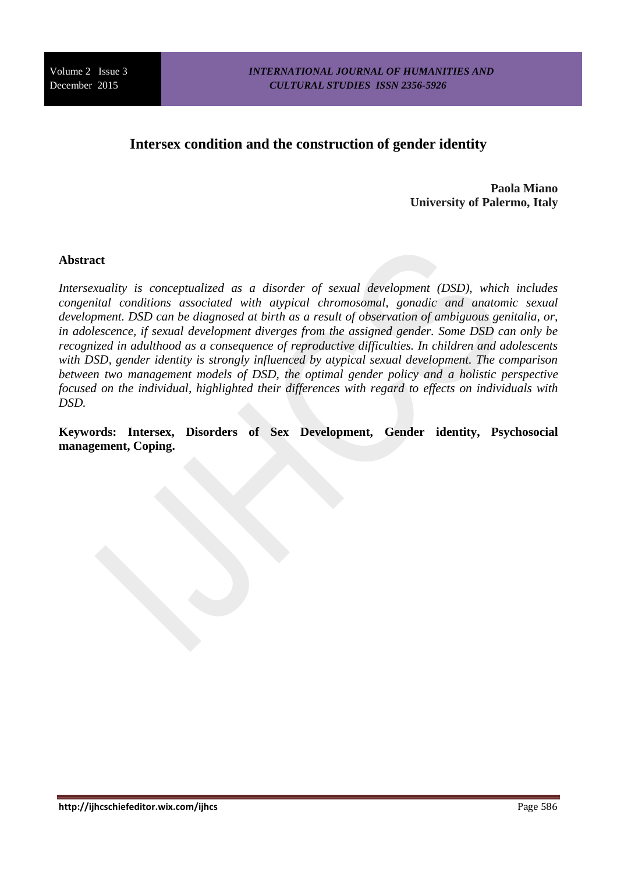# **Intersex condition and the construction of gender identity**

**Paola Miano University of Palermo, Italy** 

## **Abstract**

*Intersexuality is conceptualized as a disorder of sexual development (DSD), which includes congenital conditions associated with atypical chromosomal, gonadic and anatomic sexual development. DSD can be diagnosed at birth as a result of observation of ambiguous genitalia, or, in adolescence, if sexual development diverges from the assigned gender. Some DSD can only be recognized in adulthood as a consequence of reproductive difficulties. In children and adolescents with DSD, gender identity is strongly influenced by atypical sexual development. The comparison between two management models of DSD, the optimal gender policy and a holistic perspective focused on the individual, highlighted their differences with regard to effects on individuals with DSD.*

**Keywords: Intersex, Disorders of Sex Development, Gender identity, Psychosocial management, Coping.**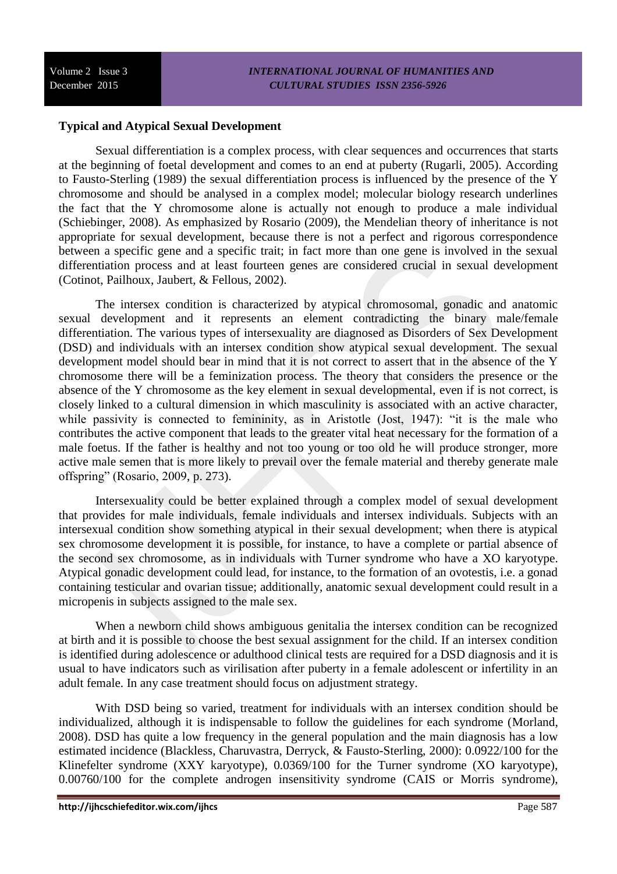## **Typical and Atypical Sexual Development**

Sexual differentiation is a complex process, with clear sequences and occurrences that starts at the beginning of foetal development and comes to an end at puberty (Rugarli, 2005). According to Fausto-Sterling (1989) the sexual differentiation process is influenced by the presence of the Y chromosome and should be analysed in a complex model; molecular biology research underlines the fact that the Y chromosome alone is actually not enough to produce a male individual (Schiebinger, 2008). As emphasized by Rosario (2009), the Mendelian theory of inheritance is not appropriate for sexual development, because there is not a perfect and rigorous correspondence between a specific gene and a specific trait; in fact more than one gene is involved in the sexual differentiation process and at least fourteen genes are considered crucial in sexual development (Cotinot, Pailhoux, Jaubert, & Fellous, 2002).

The intersex condition is characterized by atypical chromosomal, gonadic and anatomic sexual development and it represents an element contradicting the binary male/female differentiation. The various types of intersexuality are diagnosed as Disorders of Sex Development (DSD) and individuals with an intersex condition show atypical sexual development. The sexual development model should bear in mind that it is not correct to assert that in the absence of the Y chromosome there will be a feminization process. The theory that considers the presence or the absence of the Y chromosome as the key element in sexual developmental, even if is not correct, is closely linked to a cultural dimension in which masculinity is associated with an active character, while passivity is connected to femininity, as in Aristotle (Jost, 1947): "it is the male who contributes the active component that leads to the greater vital heat necessary for the formation of a male foetus. If the father is healthy and not too young or too old he will produce stronger, more active male semen that is more likely to prevail over the female material and thereby generate male offspring" (Rosario, 2009, p. 273).

Intersexuality could be better explained through a complex model of sexual development that provides for male individuals, female individuals and intersex individuals. Subjects with an intersexual condition show something atypical in their sexual development; when there is atypical sex chromosome development it is possible, for instance, to have a complete or partial absence of the second sex chromosome, as in individuals with Turner syndrome who have a XO karyotype. Atypical gonadic development could lead, for instance, to the formation of an ovotestis, i.e. a gonad containing testicular and ovarian tissue; additionally, anatomic sexual development could result in a micropenis in subjects assigned to the male sex.

When a newborn child shows ambiguous genitalia the intersex condition can be recognized at birth and it is possible to choose the best sexual assignment for the child. If an intersex condition is identified during adolescence or adulthood clinical tests are required for a DSD diagnosis and it is usual to have indicators such as virilisation after puberty in a female adolescent or infertility in an adult female. In any case treatment should focus on adjustment strategy.

With DSD being so varied, treatment for individuals with an intersex condition should be individualized, although it is indispensable to follow the guidelines for each syndrome (Morland, 2008). DSD has quite a low frequency in the general population and the main diagnosis has a low estimated incidence (Blackless, Charuvastra, Derryck, & Fausto-Sterling, 2000): 0.0922/100 for the Klinefelter syndrome (XXY karyotype), 0.0369/100 for the Turner syndrome (XO karyotype), 0.00760/100 for the complete androgen insensitivity syndrome (CAIS or Morris syndrome),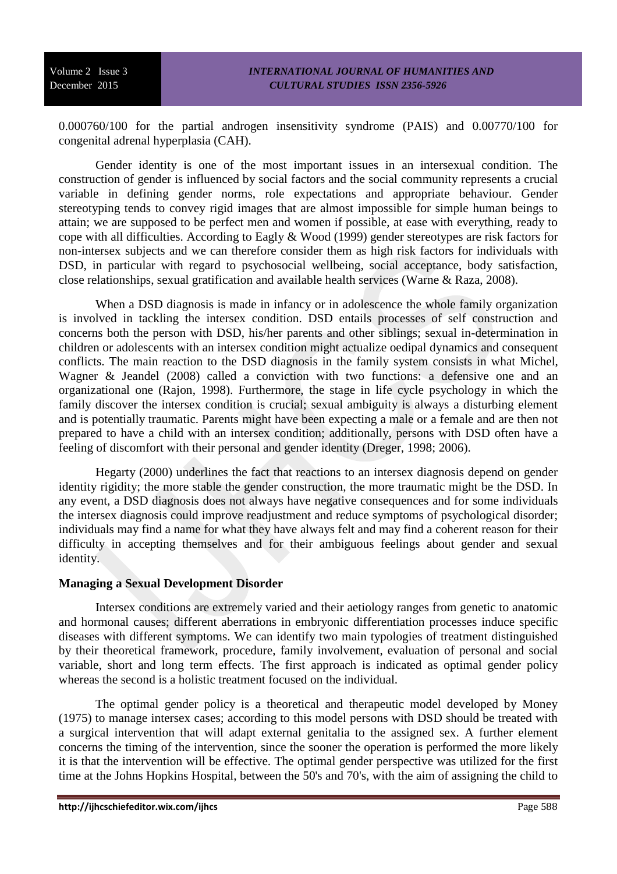0.000760/100 for the partial androgen insensitivity syndrome (PAIS) and 0.00770/100 for congenital adrenal hyperplasia (CAH).

Gender identity is one of the most important issues in an intersexual condition. The construction of gender is influenced by social factors and the social community represents a crucial variable in defining gender norms, role expectations and appropriate behaviour. Gender stereotyping tends to convey rigid images that are almost impossible for simple human beings to attain; we are supposed to be perfect men and women if possible, at ease with everything, ready to cope with all difficulties. According to Eagly & Wood (1999) gender stereotypes are risk factors for non-intersex subjects and we can therefore consider them as high risk factors for individuals with DSD, in particular with regard to psychosocial wellbeing, social acceptance, body satisfaction, close relationships, sexual gratification and available health services (Warne & Raza, 2008).

When a DSD diagnosis is made in infancy or in adolescence the whole family organization is involved in tackling the intersex condition. DSD entails processes of self construction and concerns both the person with DSD, his/her parents and other siblings; sexual in-determination in children or adolescents with an intersex condition might actualize oedipal dynamics and consequent conflicts. The main reaction to the DSD diagnosis in the family system consists in what Michel, Wagner & Jeandel (2008) called a conviction with two functions: a defensive one and an organizational one (Rajon, 1998). Furthermore, the stage in life cycle psychology in which the family discover the intersex condition is crucial; sexual ambiguity is always a disturbing element and is potentially traumatic. Parents might have been expecting a male or a female and are then not prepared to have a child with an intersex condition; additionally, persons with DSD often have a feeling of discomfort with their personal and gender identity (Dreger, 1998; 2006).

Hegarty (2000) underlines the fact that reactions to an intersex diagnosis depend on gender identity rigidity; the more stable the gender construction, the more traumatic might be the DSD. In any event, a DSD diagnosis does not always have negative consequences and for some individuals the intersex diagnosis could improve readjustment and reduce symptoms of psychological disorder; individuals may find a name for what they have always felt and may find a coherent reason for their difficulty in accepting themselves and for their ambiguous feelings about gender and sexual identity.

## **Managing a Sexual Development Disorder**

Intersex conditions are extremely varied and their aetiology ranges from genetic to anatomic and hormonal causes; different aberrations in embryonic differentiation processes induce specific diseases with different symptoms. We can identify two main typologies of treatment distinguished by their theoretical framework, procedure, family involvement, evaluation of personal and social variable, short and long term effects. The first approach is indicated as optimal gender policy whereas the second is a holistic treatment focused on the individual.

The optimal gender policy is a theoretical and therapeutic model developed by Money (1975) to manage intersex cases; according to this model persons with DSD should be treated with a surgical intervention that will adapt external genitalia to the assigned sex. A further element concerns the timing of the intervention, since the sooner the operation is performed the more likely it is that the intervention will be effective. The optimal gender perspective was utilized for the first time at the Johns Hopkins Hospital, between the 50's and 70's, with the aim of assigning the child to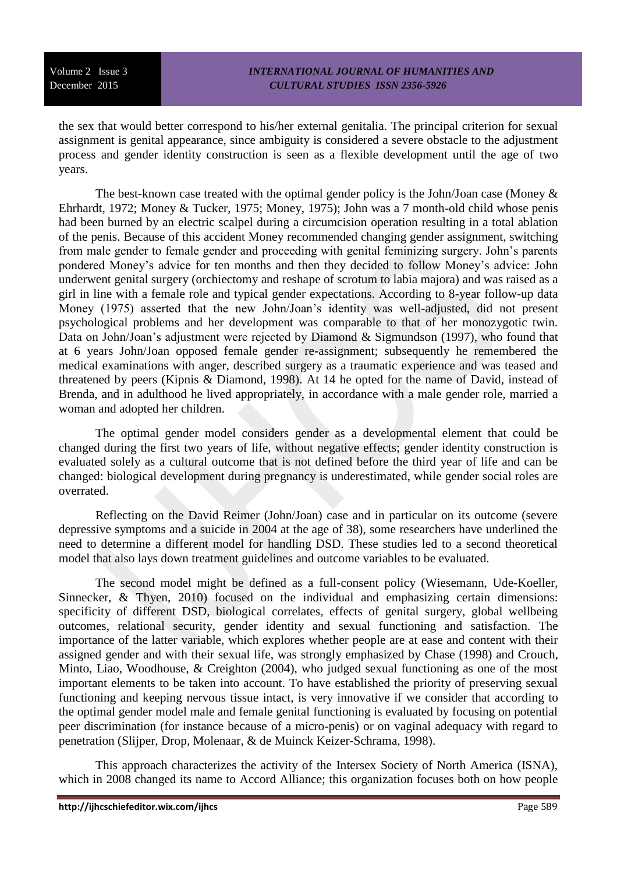the sex that would better correspond to his/her external genitalia. The principal criterion for sexual assignment is genital appearance, since ambiguity is considered a severe obstacle to the adjustment process and gender identity construction is seen as a flexible development until the age of two years.

The best-known case treated with the optimal gender policy is the John/Joan case (Money & Ehrhardt, 1972; Money & Tucker, 1975; Money, 1975); John was a 7 month-old child whose penis had been burned by an electric scalpel during a circumcision operation resulting in a total ablation of the penis. Because of this accident Money recommended changing gender assignment, switching from male gender to female gender and proceeding with genital feminizing surgery. John's parents pondered Money's advice for ten months and then they decided to follow Money's advice: John underwent genital surgery (orchiectomy and reshape of scrotum to labia majora) and was raised as a girl in line with a female role and typical gender expectations. According to 8-year follow-up data Money (1975) asserted that the new John/Joan's identity was well-adjusted, did not present psychological problems and her development was comparable to that of her monozygotic twin. Data on John/Joan's adjustment were rejected by Diamond & Sigmundson (1997), who found that at 6 years John/Joan opposed female gender re-assignment; subsequently he remembered the medical examinations with anger, described surgery as a traumatic experience and was teased and threatened by peers (Kipnis & Diamond, 1998). At 14 he opted for the name of David, instead of Brenda, and in adulthood he lived appropriately, in accordance with a male gender role, married a woman and adopted her children.

The optimal gender model considers gender as a developmental element that could be changed during the first two years of life, without negative effects; gender identity construction is evaluated solely as a cultural outcome that is not defined before the third year of life and can be changed: biological development during pregnancy is underestimated, while gender social roles are overrated.

Reflecting on the David Reimer (John/Joan) case and in particular on its outcome (severe depressive symptoms and a suicide in 2004 at the age of 38), some researchers have underlined the need to determine a different model for handling DSD. These studies led to a second theoretical model that also lays down treatment guidelines and outcome variables to be evaluated.

The second model might be defined as a full-consent policy (Wiesemann, Ude-Koeller, Sinnecker, & Thyen, 2010) focused on the individual and emphasizing certain dimensions: specificity of different DSD, biological correlates, effects of genital surgery, global wellbeing outcomes, relational security, gender identity and sexual functioning and satisfaction. The importance of the latter variable, which explores whether people are at ease and content with their assigned gender and with their sexual life, was strongly emphasized by Chase (1998) and Crouch, Minto, Liao, Woodhouse, & Creighton (2004), who judged sexual functioning as one of the most important elements to be taken into account. To have established the priority of preserving sexual functioning and keeping nervous tissue intact, is very innovative if we consider that according to the optimal gender model male and female genital functioning is evaluated by focusing on potential peer discrimination (for instance because of a micro-penis) or on vaginal adequacy with regard to penetration (Slijper, Drop, Molenaar, & de Muinck Keizer-Schrama, 1998).

This approach characterizes the activity of the Intersex Society of North America (ISNA), which in 2008 changed its name to Accord Alliance; this organization focuses both on how people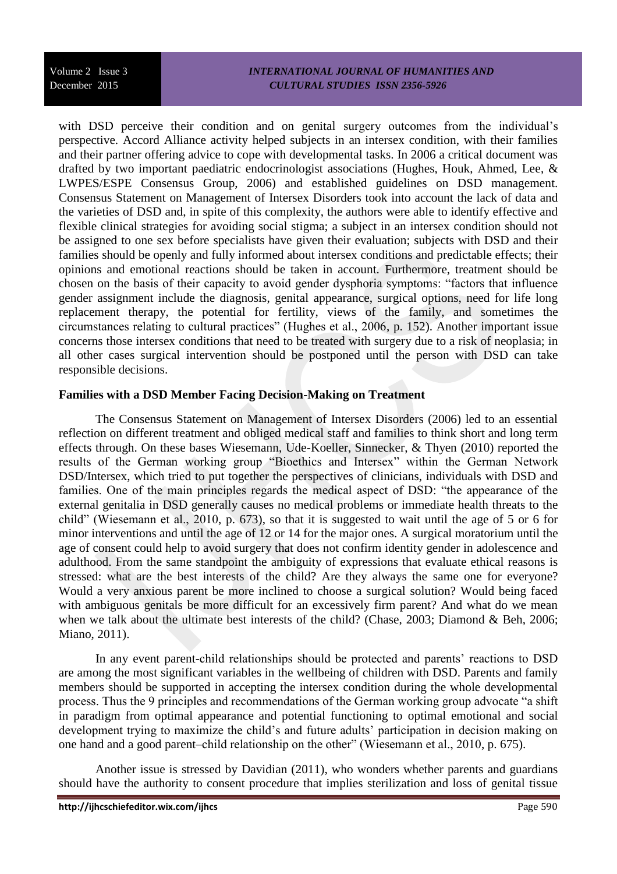#### *INTERNATIONAL JOURNAL OF HUMANITIES AND CULTURAL STUDIES ISSN 2356-5926*

with DSD perceive their condition and on genital surgery outcomes from the individual's perspective. Accord Alliance activity helped subjects in an intersex condition, with their families and their partner offering advice to cope with developmental tasks. In 2006 a critical document was drafted by two important paediatric endocrinologist associations (Hughes, Houk, Ahmed, Lee, & LWPES/ESPE Consensus Group, 2006) and established guidelines on DSD management. Consensus Statement on Management of Intersex Disorders took into account the lack of data and the varieties of DSD and, in spite of this complexity, the authors were able to identify effective and flexible clinical strategies for avoiding social stigma; a subject in an intersex condition should not be assigned to one sex before specialists have given their evaluation; subjects with DSD and their families should be openly and fully informed about intersex conditions and predictable effects; their opinions and emotional reactions should be taken in account. Furthermore, treatment should be chosen on the basis of their capacity to avoid gender dysphoria symptoms: "factors that influence gender assignment include the diagnosis, genital appearance, surgical options, need for life long replacement therapy, the potential for fertility, views of the family, and sometimes the circumstances relating to cultural practices" (Hughes et al., 2006, p. 152). Another important issue concerns those intersex conditions that need to be treated with surgery due to a risk of neoplasia; in all other cases surgical intervention should be postponed until the person with DSD can take responsible decisions.

## **Families with a DSD Member Facing Decision-Making on Treatment**

The Consensus Statement on Management of Intersex Disorders (2006) led to an essential reflection on different treatment and obliged medical staff and families to think short and long term effects through. On these bases Wiesemann, Ude-Koeller, Sinnecker, & Thyen (2010) reported the results of the German working group "Bioethics and Intersex" within the German Network DSD/Intersex, which tried to put together the perspectives of clinicians, individuals with DSD and families. One of the main principles regards the medical aspect of DSD: "the appearance of the external genitalia in DSD generally causes no medical problems or immediate health threats to the child" (Wiesemann et al., 2010, p. 673), so that it is suggested to wait until the age of 5 or 6 for minor interventions and until the age of 12 or 14 for the major ones. A surgical moratorium until the age of consent could help to avoid surgery that does not confirm identity gender in adolescence and adulthood. From the same standpoint the ambiguity of expressions that evaluate ethical reasons is stressed: what are the best interests of the child? Are they always the same one for everyone? Would a very anxious parent be more inclined to choose a surgical solution? Would being faced with ambiguous genitals be more difficult for an excessively firm parent? And what do we mean when we talk about the ultimate best interests of the child? (Chase, 2003; Diamond & Beh, 2006; Miano, 2011).

In any event parent-child relationships should be protected and parents' reactions to DSD are among the most significant variables in the wellbeing of children with DSD. Parents and family members should be supported in accepting the intersex condition during the whole developmental process. Thus the 9 principles and recommendations of the German working group advocate "a shift in paradigm from optimal appearance and potential functioning to optimal emotional and social development trying to maximize the child's and future adults' participation in decision making on one hand and a good parent–child relationship on the other" (Wiesemann et al., 2010, p. 675).

Another issue is stressed by Davidian (2011), who wonders whether parents and guardians should have the authority to consent procedure that implies sterilization and loss of genital tissue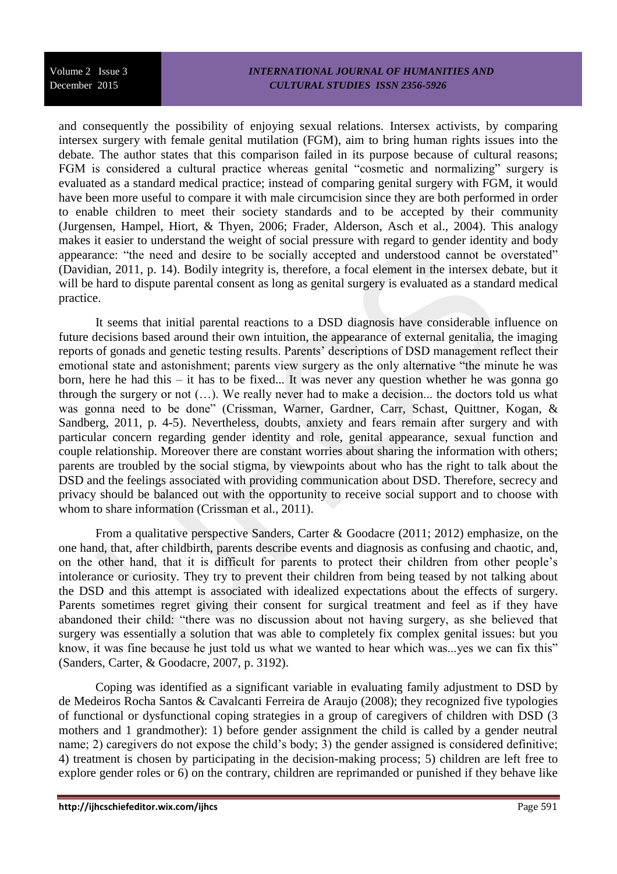and consequently the possibility of enjoying sexual relations. Intersex activists, by comparing intersex surgery with female genital mutilation (FGM), aim to bring human rights issues into the debate. The author states that this comparison failed in its purpose because of cultural reasons; FGM is considered a cultural practice whereas genital "cosmetic and normalizing" surgery is evaluated as a standard medical practice; instead of comparing genital surgery with FGM, it would have been more useful to compare it with male circumcision since they are both performed in order to enable children to meet their society standards and to be accepted by their community (Jurgensen, Hampel, Hiort, & Thyen, 2006; Frader, Alderson, Asch et al., 2004). This analogy makes it easier to understand the weight of social pressure with regard to gender identity and body appearance: "the need and desire to be socially accepted and understood cannot be overstated" (Davidian, 2011, p. 14). Bodily integrity is, therefore, a focal element in the intersex debate, but it will be hard to dispute parental consent as long as genital surgery is evaluated as a standard medical practice.

It seems that initial parental reactions to a DSD diagnosis have considerable influence on future decisions based around their own intuition, the appearance of external genitalia, the imaging reports of gonads and genetic testing results. Parents' descriptions of DSD management reflect their emotional state and astonishment; parents view surgery as the only alternative "the minute he was born, here he had this – it has to be fixed... It was never any question whether he was gonna go through the surgery or not (…). We really never had to make a decision... the doctors told us what was gonna need to be done" (Crissman, Warner, Gardner, Carr, Schast, Quittner, Kogan, & Sandberg, 2011, p. 4-5). Nevertheless, doubts, anxiety and fears remain after surgery and with particular concern regarding gender identity and role, genital appearance, sexual function and couple relationship. Moreover there are constant worries about sharing the information with others; parents are troubled by the social stigma, by viewpoints about who has the right to talk about the DSD and the feelings associated with providing communication about DSD. Therefore, secrecy and privacy should be balanced out with the opportunity to receive social support and to choose with whom to share information (Crissman et al., 2011).

From a qualitative perspective Sanders, Carter & Goodacre (2011; 2012) emphasize, on the one hand, that, after childbirth, parents describe events and diagnosis as confusing and chaotic, and, on the other hand, that it is difficult for parents to protect their children from other people's intolerance or curiosity. They try to prevent their children from being teased by not talking about the DSD and this attempt is associated with idealized expectations about the effects of surgery. Parents sometimes regret giving their consent for surgical treatment and feel as if they have abandoned their child: "there was no discussion about not having surgery, as she believed that surgery was essentially a solution that was able to completely fix complex genital issues: but you know, it was fine because he just told us what we wanted to hear which was...yes we can fix this" (Sanders, Carter, & Goodacre, 2007, p. 3192).

Coping was identified as a significant variable in evaluating family adjustment to DSD by de Medeiros Rocha Santos & Cavalcanti Ferreira de Araujo (2008); they recognized five typologies of functional or dysfunctional coping strategies in a group of caregivers of children with DSD (3 mothers and 1 grandmother): 1) before gender assignment the child is called by a gender neutral name; 2) caregivers do not expose the child's body; 3) the gender assigned is considered definitive; 4) treatment is chosen by participating in the decision-making process; 5) children are left free to explore gender roles or 6) on the contrary, children are reprimanded or punished if they behave like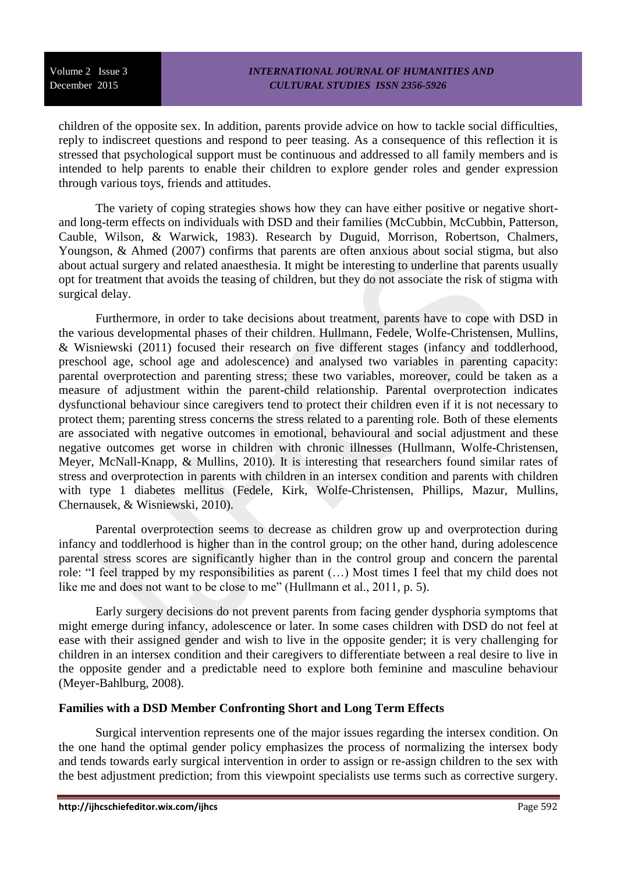children of the opposite sex. In addition, parents provide advice on how to tackle social difficulties, reply to indiscreet questions and respond to peer teasing. As a consequence of this reflection it is stressed that psychological support must be continuous and addressed to all family members and is intended to help parents to enable their children to explore gender roles and gender expression through various toys, friends and attitudes.

The variety of coping strategies shows how they can have either positive or negative shortand long-term effects on individuals with DSD and their families (McCubbin, McCubbin, Patterson, Cauble, Wilson, & Warwick, 1983). Research by Duguid, Morrison, Robertson, Chalmers, Youngson, & Ahmed (2007) confirms that parents are often anxious about social stigma, but also about actual surgery and related anaesthesia. It might be interesting to underline that parents usually opt for treatment that avoids the teasing of children, but they do not associate the risk of stigma with surgical delay.

Furthermore, in order to take decisions about treatment, parents have to cope with DSD in the various developmental phases of their children. Hullmann, Fedele, Wolfe-Christensen, Mullins, & Wisniewski (2011) focused their research on five different stages (infancy and toddlerhood, preschool age, school age and adolescence) and analysed two variables in parenting capacity: parental overprotection and parenting stress; these two variables, moreover, could be taken as a measure of adjustment within the parent-child relationship. Parental overprotection indicates dysfunctional behaviour since caregivers tend to protect their children even if it is not necessary to protect them; parenting stress concerns the stress related to a parenting role. Both of these elements are associated with negative outcomes in emotional, behavioural and social adjustment and these negative outcomes get worse in children with chronic illnesses (Hullmann, Wolfe-Christensen, Meyer, McNall-Knapp, & Mullins, 2010). It is interesting that researchers found similar rates of stress and overprotection in parents with children in an intersex condition and parents with children with type 1 diabetes mellitus (Fedele, Kirk, Wolfe-Christensen, Phillips, Mazur, Mullins, Chernausek, & Wisniewski, 2010).

Parental overprotection seems to decrease as children grow up and overprotection during infancy and toddlerhood is higher than in the control group; on the other hand, during adolescence parental stress scores are significantly higher than in the control group and concern the parental role: "I feel trapped by my responsibilities as parent (…) Most times I feel that my child does not like me and does not want to be close to me" (Hullmann et al., 2011, p. 5).

Early surgery decisions do not prevent parents from facing gender dysphoria symptoms that might emerge during infancy, adolescence or later. In some cases children with DSD do not feel at ease with their assigned gender and wish to live in the opposite gender; it is very challenging for children in an intersex condition and their caregivers to differentiate between a real desire to live in the opposite gender and a predictable need to explore both feminine and masculine behaviour (Meyer-Bahlburg, 2008).

## **Families with a DSD Member Confronting Short and Long Term Effects**

Surgical intervention represents one of the major issues regarding the intersex condition. On the one hand the optimal gender policy emphasizes the process of normalizing the intersex body and tends towards early surgical intervention in order to assign or re-assign children to the sex with the best adjustment prediction; from this viewpoint specialists use terms such as corrective surgery.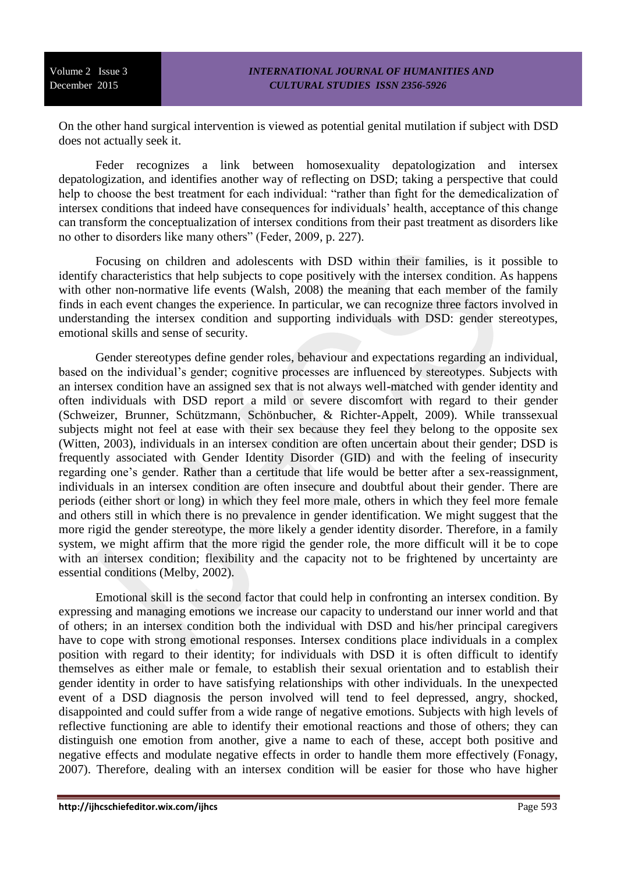On the other hand surgical intervention is viewed as potential genital mutilation if subject with DSD does not actually seek it.

Feder recognizes a link between homosexuality depatologization and intersex depatologization, and identifies another way of reflecting on DSD; taking a perspective that could help to choose the best treatment for each individual: "rather than fight for the demedicalization of intersex conditions that indeed have consequences for individuals' health, acceptance of this change can transform the conceptualization of intersex conditions from their past treatment as disorders like no other to disorders like many others" (Feder, 2009, p. 227).

Focusing on children and adolescents with DSD within their families, is it possible to identify characteristics that help subjects to cope positively with the intersex condition. As happens with other non-normative life events (Walsh, 2008) the meaning that each member of the family finds in each event changes the experience. In particular, we can recognize three factors involved in understanding the intersex condition and supporting individuals with DSD: gender stereotypes, emotional skills and sense of security.

Gender stereotypes define gender roles, behaviour and expectations regarding an individual, based on the individual's gender; cognitive processes are influenced by stereotypes. Subjects with an intersex condition have an assigned sex that is not always well-matched with gender identity and often individuals with DSD report a mild or severe discomfort with regard to their gender (Schweizer, Brunner, Schützmann, Schönbucher, & Richter-Appelt, 2009). While transsexual subjects might not feel at ease with their sex because they feel they belong to the opposite sex (Witten, 2003), individuals in an intersex condition are often uncertain about their gender; DSD is frequently associated with Gender Identity Disorder (GID) and with the feeling of insecurity regarding one's gender. Rather than a certitude that life would be better after a sex-reassignment, individuals in an intersex condition are often insecure and doubtful about their gender. There are periods (either short or long) in which they feel more male, others in which they feel more female and others still in which there is no prevalence in gender identification. We might suggest that the more rigid the gender stereotype, the more likely a gender identity disorder. Therefore, in a family system, we might affirm that the more rigid the gender role, the more difficult will it be to cope with an intersex condition; flexibility and the capacity not to be frightened by uncertainty are essential conditions (Melby, 2002).

Emotional skill is the second factor that could help in confronting an intersex condition. By expressing and managing emotions we increase our capacity to understand our inner world and that of others; in an intersex condition both the individual with DSD and his/her principal caregivers have to cope with strong emotional responses. Intersex conditions place individuals in a complex position with regard to their identity; for individuals with DSD it is often difficult to identify themselves as either male or female, to establish their sexual orientation and to establish their gender identity in order to have satisfying relationships with other individuals. In the unexpected event of a DSD diagnosis the person involved will tend to feel depressed, angry, shocked, disappointed and could suffer from a wide range of negative emotions. Subjects with high levels of reflective functioning are able to identify their emotional reactions and those of others; they can distinguish one emotion from another, give a name to each of these, accept both positive and negative effects and modulate negative effects in order to handle them more effectively (Fonagy, 2007). Therefore, dealing with an intersex condition will be easier for those who have higher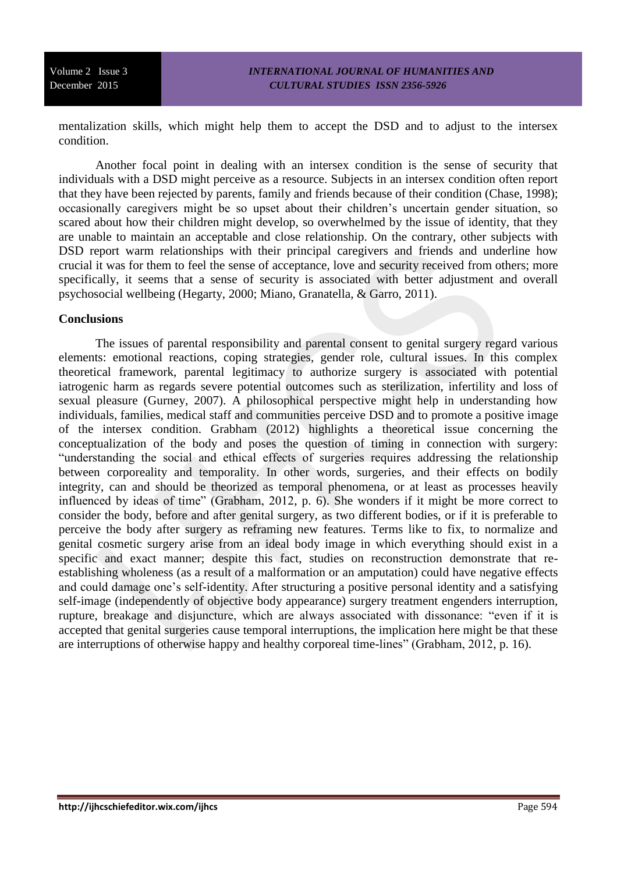mentalization skills, which might help them to accept the DSD and to adjust to the intersex condition.

Another focal point in dealing with an intersex condition is the sense of security that individuals with a DSD might perceive as a resource. Subjects in an intersex condition often report that they have been rejected by parents, family and friends because of their condition (Chase, 1998); occasionally caregivers might be so upset about their children's uncertain gender situation, so scared about how their children might develop, so overwhelmed by the issue of identity, that they are unable to maintain an acceptable and close relationship. On the contrary, other subjects with DSD report warm relationships with their principal caregivers and friends and underline how crucial it was for them to feel the sense of acceptance, love and security received from others; more specifically, it seems that a sense of security is associated with better adjustment and overall psychosocial wellbeing (Hegarty, 2000; Miano, Granatella, & Garro, 2011).

## **Conclusions**

The issues of parental responsibility and parental consent to genital surgery regard various elements: emotional reactions, coping strategies, gender role, cultural issues. In this complex theoretical framework, parental legitimacy to authorize surgery is associated with potential iatrogenic harm as regards severe potential outcomes such as sterilization, infertility and loss of sexual pleasure (Gurney, 2007). A philosophical perspective might help in understanding how individuals, families, medical staff and communities perceive DSD and to promote a positive image of the intersex condition. Grabham (2012) highlights a theoretical issue concerning the conceptualization of the body and poses the question of timing in connection with surgery: "understanding the social and ethical effects of surgeries requires addressing the relationship between corporeality and temporality. In other words, surgeries, and their effects on bodily integrity, can and should be theorized as temporal phenomena, or at least as processes heavily influenced by ideas of time" (Grabham, 2012, p. 6). She wonders if it might be more correct to consider the body, before and after genital surgery, as two different bodies, or if it is preferable to perceive the body after surgery as reframing new features. Terms like to fix, to normalize and genital cosmetic surgery arise from an ideal body image in which everything should exist in a specific and exact manner; despite this fact, studies on reconstruction demonstrate that reestablishing wholeness (as a result of a malformation or an amputation) could have negative effects and could damage one's self-identity. After structuring a positive personal identity and a satisfying self-image (independently of objective body appearance) surgery treatment engenders interruption, rupture, breakage and disjuncture, which are always associated with dissonance: "even if it is accepted that genital surgeries cause temporal interruptions, the implication here might be that these are interruptions of otherwise happy and healthy corporeal time-lines" (Grabham, 2012, p. 16).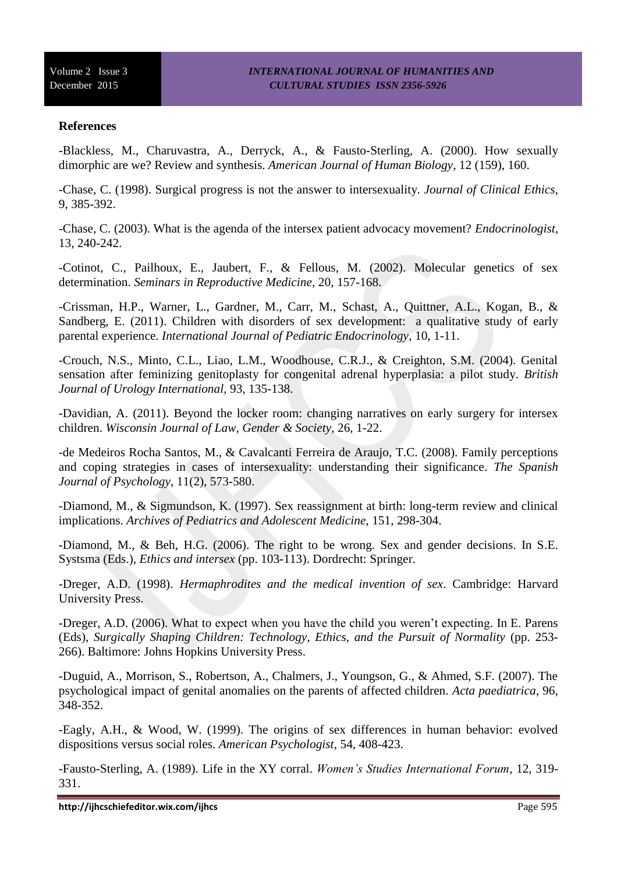## **References**

-Blackless, M., Charuvastra, A., Derryck, A., & Fausto-Sterling, A. (2000). How sexually dimorphic are we? Review and synthesis. *American Journal of Human Biology*, 12 (159), 160.

-Chase, C. (1998). Surgical progress is not the answer to intersexuality. *Journal of Clinical Ethics,*  9, 385-392.

-Chase, C. (2003). What is the agenda of the intersex patient advocacy movement? *Endocrinologist,* 13, 240-242.

-Cotinot, C., Pailhoux, E., Jaubert, F., & Fellous, M. (2002). Molecular genetics of sex determination. *Seminars in Reproductive Medicine,* 20, 157-168.

-Crissman, H.P., Warner, L., Gardner, M., Carr, M., Schast, A., Quittner, A.L., Kogan, B., & Sandberg, E. (2011). Children with disorders of sex development: a qualitative study of early parental experience. *International Journal of Pediatric Endocrinology*, 10, 1-11.

-Crouch, N.S., Minto, C.L., Liao, L.M., Woodhouse, C.R.J., & Creighton, S.M. (2004). Genital sensation after feminizing genitoplasty for congenital adrenal hyperplasia: a pilot study. *British Journal of Urology International,* 93, 135-138.

-Davidian, A. (2011). Beyond the locker room: changing narratives on early surgery for intersex children. *Wisconsin Journal of Law, Gender & Society*, 26, 1-22.

-de Medeiros Rocha Santos, M., & Cavalcanti Ferreira de Araujo, T.C. (2008). Family perceptions and coping strategies in cases of intersexuality: understanding their significance. *The Spanish Journal of Psychology*, 11(2), 573-580.

-Diamond, M., & Sigmundson, K. (1997). Sex reassignment at birth: long-term review and clinical implications. *Archives of Pediatrics and Adolescent Medicine,* 151, 298-304.

-Diamond, M., & Beh, H.G. (2006). The right to be wrong. Sex and gender decisions. In S.E. Systsma (Eds.), *Ethics and intersex* (pp. 103-113). Dordrecht: Springer.

-Dreger, A.D. (1998). *Hermaphrodites and the medical invention of sex*. Cambridge: Harvard University Press.

-Dreger, A.D. (2006). What to expect when you have the child you weren't expecting. In E. Parens (Eds), *Surgically Shaping Children: Technology, Ethics, and the Pursuit of Normality* (pp. 253-266). Baltimore: Johns Hopkins University Press.

-Duguid, A., Morrison, S., Robertson, A., Chalmers, J., Youngson, G., & Ahmed, S.F. (2007). The psychological impact of genital anomalies on the parents of affected children. *Acta paediatrica,* 96, 348-352.

-Eagly, A.H., & Wood, W. (1999). The origins of sex differences in human behavior: evolved dispositions versus social roles. *American Psychologist*, 54, 408-423.

-Fausto-Sterling, A. (1989). Life in the XY corral. *Women's Studies International Forum,* 12, 319- 331.

**http://ijhcschiefeditor.wix.com/ijhcs** Page 595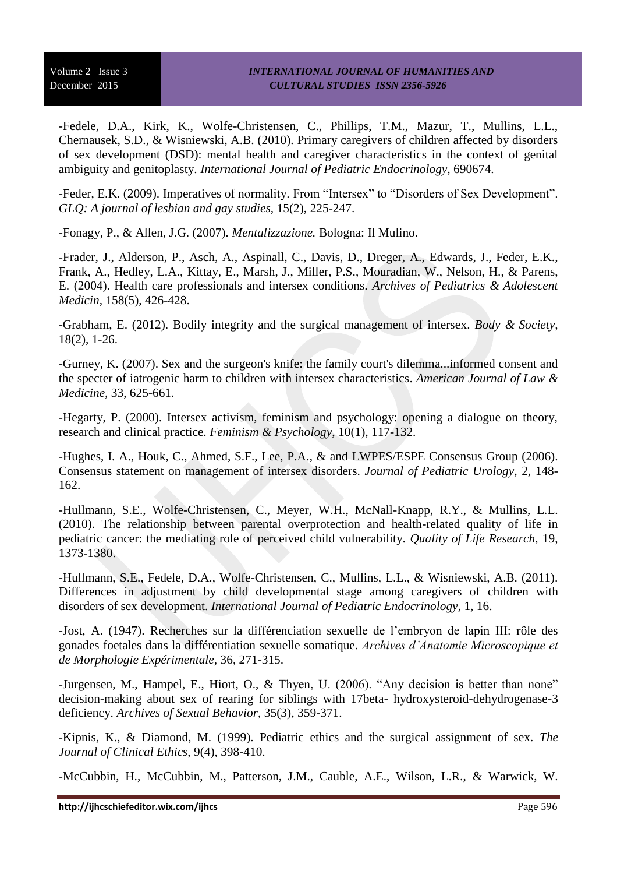-Fedele, D.A., Kirk, K., Wolfe-Christensen, C., Phillips, T.M., Mazur, T., Mullins, L.L., Chernausek, S.D., & Wisniewski, A.B. (2010). Primary caregivers of children affected by disorders of sex development (DSD): mental health and caregiver characteristics in the context of genital ambiguity and genitoplasty. *International Journal of Pediatric Endocrinology*, 690674.

-Feder, E.K. (2009). Imperatives of normality. From "Intersex" to "Disorders of Sex Development". *GLQ: A journal of lesbian and gay studies,* 15(2), 225-247.

-Fonagy, P., & Allen, J.G. (2007). *Mentalizzazione.* Bologna: Il Mulino.

-Frader, J., Alderson, P., Asch, A., Aspinall, C., Davis, D., Dreger, A., Edwards, J., Feder, E.K., Frank, A., Hedley, L.A., [Kittay, E.](http://www.ncbi.nlm.nih.gov/pubmed?term=Kittay%20E%255BAuthor%255D&cauthor=true&cauthor_uid=15123472), [Marsh, J.](http://www.ncbi.nlm.nih.gov/pubmed?term=Marsh%20J%255BAuthor%255D&cauthor=true&cauthor_uid=15123472), [Miller, P.S.](http://www.ncbi.nlm.nih.gov/pubmed?term=Miller%20PS%255BAuthor%255D&cauthor=true&cauthor_uid=15123472), [Mouradian, W.](http://www.ncbi.nlm.nih.gov/pubmed?term=Mouradian%20W%255BAuthor%255D&cauthor=true&cauthor_uid=15123472), [Nelson, H.](http://www.ncbi.nlm.nih.gov/pubmed?term=Nelson%20H%255BAuthor%255D&cauthor=true&cauthor_uid=15123472), & [Parens,](http://www.ncbi.nlm.nih.gov/pubmed?term=Parens%20E%255BAuthor%255D&cauthor=true&cauthor_uid=15123472)  [E.](http://www.ncbi.nlm.nih.gov/pubmed?term=Parens%20E%255BAuthor%255D&cauthor=true&cauthor_uid=15123472) (2004). Health care professionals and intersex conditions. *Archives of Pediatrics & Adolescent Medicin,* 158(5), 426-428.

-Grabham, E. (2012). Bodily integrity and the surgical management of intersex. *Body & Society,* 18(2), 1-26.

-Gurney, K. (2007). Sex and the surgeon's knife: the family court's dilemma...informed consent and the specter of iatrogenic harm to children with intersex characteristics. *American Journal of Law & Medicine,* 33, 625-661.

-Hegarty, P. (2000). Intersex activism, feminism and psychology: opening a dialogue on theory, research and clinical practice. *Feminism & Psychology*, 10(1), 117-132.

-Hughes, I. A., Houk, C., Ahmed, S.F., Lee, P.A., & and LWPES/ESPE Consensus Group (2006). Consensus statement on management of intersex disorders. *Journal of Pediatric Urology,* 2, 148- 162.

-Hullmann, S.E., Wolfe-Christensen, C., Meyer, W.H., McNall-Knapp, R.Y., & Mullins, L.L. (2010). The relationship between parental overprotection and health-related quality of life in pediatric cancer: the mediating role of perceived child vulnerability. *Quality of Life Research*, 19, 1373-1380.

-Hullmann, S.E., Fedele, D.A., Wolfe-Christensen, C., Mullins, L.L., & Wisniewski, A.B. (2011). Differences in adjustment by child developmental stage among caregivers of children with disorders of sex development. *International Journal of Pediatric Endocrinology*, 1, 16.

-Jost, A. (1947). Recherches sur la différenciation sexuelle de l'embryon de lapin III: rôle des gonades foetales dans la différentiation sexuelle somatique. *Archives d'Anatomie Microscopique et de Morphologie Expérimentale*, 36, 271-315.

-Jurgensen, M., Hampel, E., Hiort, O., & Thyen, U. (2006). "Any decision is better than none" decision-making about sex of rearing for siblings with 17beta- hydroxysteroid-dehydrogenase-3 deficiency. *Archives of Sexual Behavior*, 35(3), 359-371.

-Kipnis, K., & Diamond, M. (1999). Pediatric ethics and the surgical assignment of sex. *The Journal of Clinical Ethics*, 9(4), 398-410.

-McCubbin, H., McCubbin, M., Patterson, J.M., Cauble, A.E., Wilson, L.R., & Warwick, W.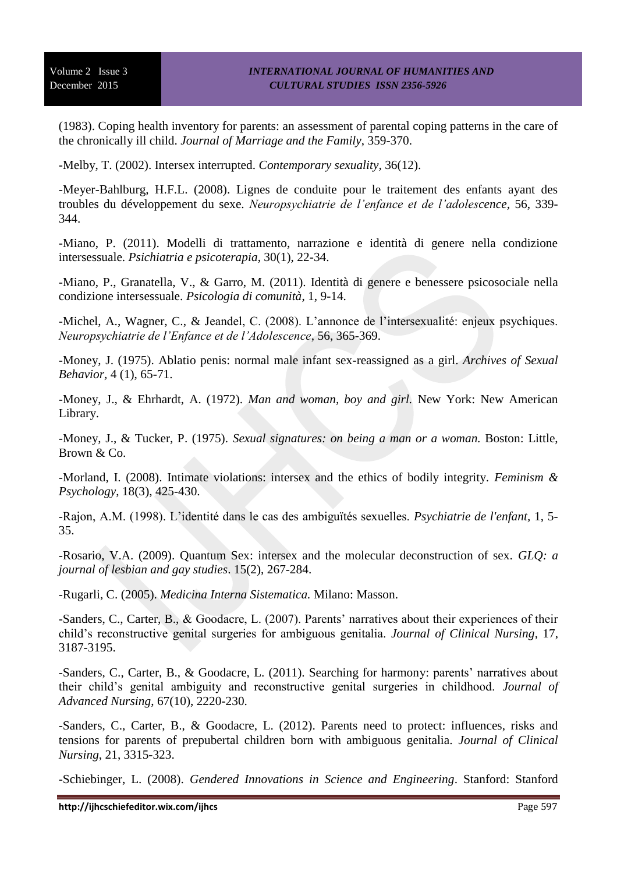(1983). Coping health inventory for parents: an assessment of parental coping patterns in the care of the chronically ill child. *Journal of Marriage and the Family*, 359-370.

-Melby, T. (2002). Intersex interrupted. *Contemporary sexuality,* 36(12).

-Meyer-Bahlburg, H.F.L. (2008). Lignes de conduite pour le traitement des enfants ayant des troubles du développement du sexe. *Neuropsychiatrie de l'enfance et de l'adolescence,* 56, 339- 344.

-Miano, P. (2011). Modelli di trattamento, narrazione e identità di genere nella condizione intersessuale. *Psichiatria e psicoterapia*, 30(1), 22-34.

-Miano, P., Granatella, V., & Garro, M. (2011). Identità di genere e benessere psicosociale nella condizione intersessuale. *Psicologia di comunità*, 1, 9-14.

-Michel, A., Wagner, C., & Jeandel, C. (2008). L'annonce de l'intersexualité: enjeux psychiques. *Neuropsychiatrie de l'Enfance et de l'Adolescence*, 56, 365-369.

-Money, J. (1975). Ablatio penis: normal male infant sex-reassigned as a girl. *Archives of Sexual Behavior,* 4 (1), 65-71.

-Money, J., & Ehrhardt, A. (1972). *Man and woman, boy and girl.* New York: New American Library.

-Money, J., & Tucker, P. (1975). *Sexual signatures: on being a man or a woman.* Boston: Little, Brown & Co.

-Morland, I. (2008). Intimate violations: intersex and the ethics of bodily integrity. *Feminism & Psychology*, 18(3), 425-430.

-Rajon, A.M. (1998). L'identité dans le cas des ambiguïtés sexuelles. *Psychiatrie de l'enfant,* 1, 5- 35.

-Rosario, V.A. (2009). Quantum Sex: intersex and the molecular deconstruction of sex. *GLQ: a journal of lesbian and gay studies*. 15(2), 267-284.

-Rugarli, C. (2005). *Medicina Interna Sistematica.* Milano: Masson.

-Sanders, C., Carter, B., & Goodacre, L. (2007). Parents' narratives about their experiences of their child's reconstructive genital surgeries for ambiguous genitalia. *Journal of Clinical Nursing*, 17, 3187-3195.

-Sanders, C., Carter, B., & Goodacre, L. (2011). Searching for harmony: parents' narratives about their child's genital ambiguity and reconstructive genital surgeries in childhood. *Journal of Advanced Nursing*, 67(10), 2220-230.

-Sanders, C., Carter, B., & Goodacre, L. (2012). Parents need to protect: influences, risks and tensions for parents of prepubertal children born with ambiguous genitalia. *Journal of Clinical Nursing*, 21, 3315-323.

-Schiebinger, L. (2008). *Gendered Innovations in Science and Engineering*. Stanford: Stanford